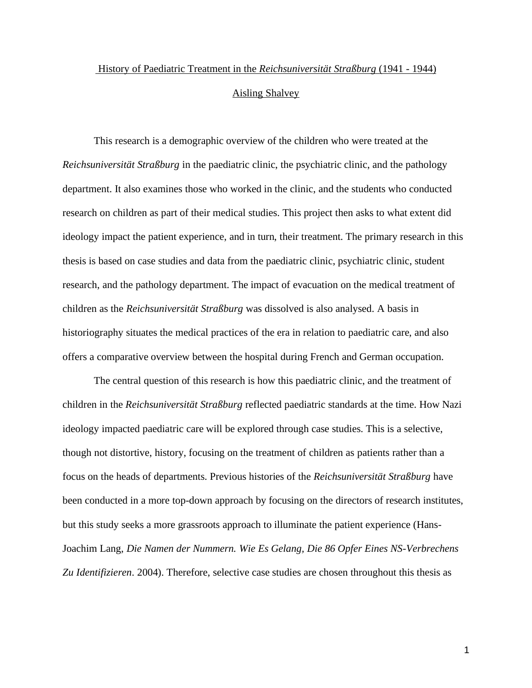## History of Paediatric Treatment in the *Reichsuniversität Straßburg* (1941 - 1944) Aisling Shalvey

This research is a demographic overview of the children who were treated at the *Reichsuniversität Straßburg* in the paediatric clinic, the psychiatric clinic, and the pathology department. It also examines those who worked in the clinic, and the students who conducted research on children as part of their medical studies. This project then asks to what extent did ideology impact the patient experience, and in turn, their treatment. The primary research in this thesis is based on case studies and data from the paediatric clinic, psychiatric clinic, student research, and the pathology department. The impact of evacuation on the medical treatment of children as the *Reichsuniversität Straßburg* was dissolved is also analysed. A basis in historiography situates the medical practices of the era in relation to paediatric care, and also offers a comparative overview between the hospital during French and German occupation.

The central question of this research is how this paediatric clinic, and the treatment of children in the *Reichsuniversität Straßburg* reflected paediatric standards at the time. How Nazi ideology impacted paediatric care will be explored through case studies. This is a selective, though not distortive, history, focusing on the treatment of children as patients rather than a focus on the heads of departments. Previous histories of the *Reichsuniversität Straßburg* have been conducted in a more top-down approach by focusing on the directors of research institutes, but this study seeks a more grassroots approach to illuminate the patient experience (Hans-Joachim Lang, *Die Namen der Nummern. Wie Es Gelang, Die 86 Opfer Eines NS-Verbrechens Zu Identifizieren*. 2004). Therefore, selective case studies are chosen throughout this thesis as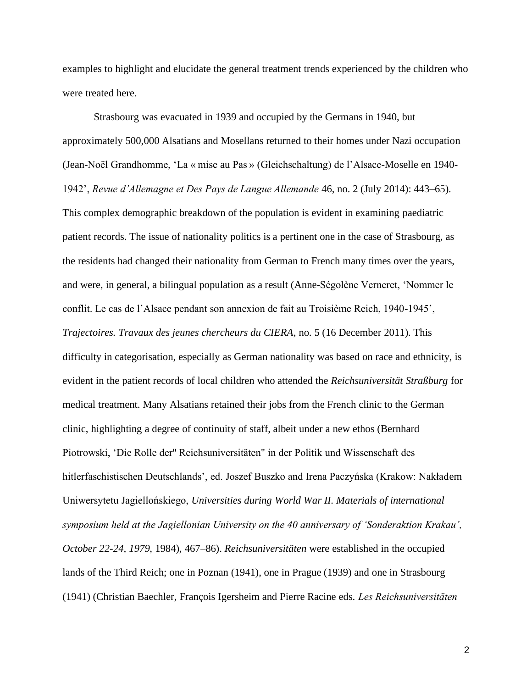examples to highlight and elucidate the general treatment trends experienced by the children who were treated here.

Strasbourg was evacuated in 1939 and occupied by the Germans in 1940, but approximately 500,000 Alsatians and Mosellans returned to their homes under Nazi occupation (Jean-Noël Grandhomme, 'La « mise au Pas » (Gleichschaltung) de l'Alsace-Moselle en 1940- 1942', *Revue d'Allemagne et Des Pays de Langue Allemande* 46, no. 2 (July 2014): 443–65). This complex demographic breakdown of the population is evident in examining paediatric patient records. The issue of nationality politics is a pertinent one in the case of Strasbourg, as the residents had changed their nationality from German to French many times over the years, and were, in general, a bilingual population as a result (Anne-Ségolène Verneret, 'Nommer le conflit. Le cas de l'Alsace pendant son annexion de fait au Troisième Reich, 1940-1945', *Trajectoires. Travaux des jeunes chercheurs du CIERA*, no. 5 (16 December 2011). This difficulty in categorisation, especially as German nationality was based on race and ethnicity, is evident in the patient records of local children who attended the *Reichsuniversität Straßburg* for medical treatment. Many Alsatians retained their jobs from the French clinic to the German clinic, highlighting a degree of continuity of staff, albeit under a new ethos (Bernhard Piotrowski, 'Die Rolle der'' Reichsuniversitäten" in der Politik und Wissenschaft des hitlerfaschistischen Deutschlands', ed. Joszef Buszko and Irena Paczyńska (Krakow: Nakładem Uniwersytetu Jagiellońskiego, *Universities during World War II. Materials of international symposium held at the Jagiellonian University on the 40 anniversary of 'Sonderaktion Krakau', October 22-24, 1979*, 1984), 467–86). *Reichsuniversitäten* were established in the occupied lands of the Third Reich; one in Poznan (1941), one in Prague (1939) and one in Strasbourg (1941) (Christian Baechler, François Igersheim and Pierre Racine eds. *Les Reichsuniversitӓten*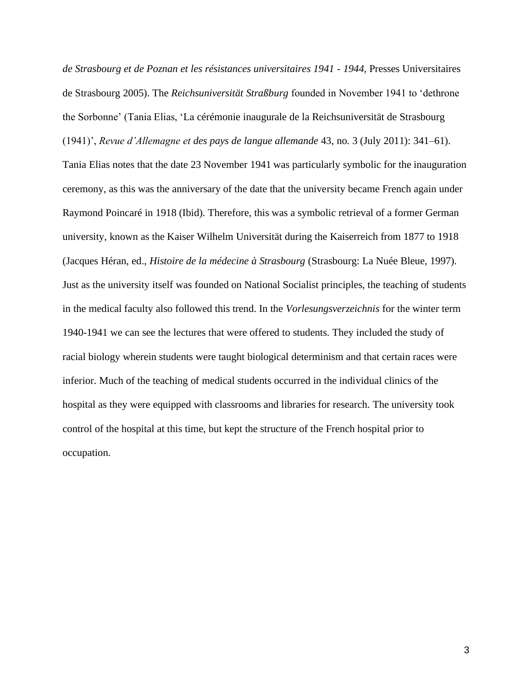*de Strasbourg et de Poznan et les résistances universitaires 1941 - 1944,* Presses Universitaires de Strasbourg 2005). The *Reichsuniversität Straßburg* founded in November 1941 to 'dethrone the Sorbonne' (Tania Elias, 'La cérémonie inaugurale de la Reichsuniversität de Strasbourg (1941)', *Revue d'Allemagne et des pays de langue allemande* 43, no. 3 (July 2011): 341–61). Tania Elias notes that the date 23 November 1941 was particularly symbolic for the inauguration ceremony, as this was the anniversary of the date that the university became French again under Raymond Poincaré in 1918 (Ibid). Therefore, this was a symbolic retrieval of a former German university, known as the Kaiser Wilhelm Universität during the Kaiserreich from 1877 to 1918 (Jacques Héran, ed., *Histoire de la médecine à Strasbourg* (Strasbourg: La Nuée Bleue, 1997). Just as the university itself was founded on National Socialist principles, the teaching of students in the medical faculty also followed this trend. In the *Vorlesungsverzeichnis* for the winter term 1940-1941 we can see the lectures that were offered to students. They included the study of racial biology wherein students were taught biological determinism and that certain races were inferior. Much of the teaching of medical students occurred in the individual clinics of the hospital as they were equipped with classrooms and libraries for research. The university took control of the hospital at this time, but kept the structure of the French hospital prior to occupation.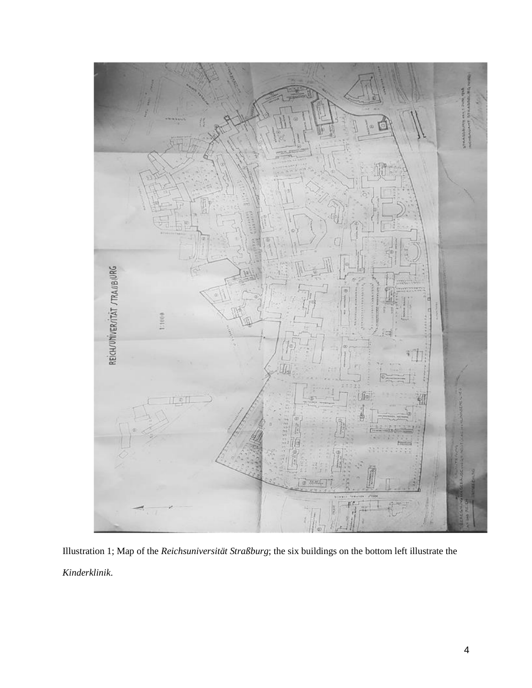

Illustration 1; Map of the *Reichsuniversität Straßburg*; the six buildings on the bottom left illustrate the *Kinderklinik*.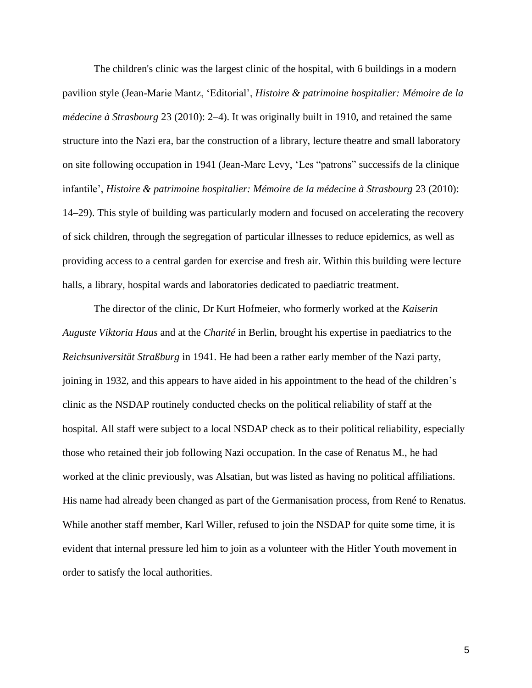The children's clinic was the largest clinic of the hospital, with 6 buildings in a modern pavilion style (Jean-Marie Mantz, 'Editorial', *Histoire & patrimoine hospitalier: Mémoire de la médecine à Strasbourg* 23 (2010): 2–4). It was originally built in 1910, and retained the same structure into the Nazi era, bar the construction of a library, lecture theatre and small laboratory on site following occupation in 1941 (Jean-Marc Levy, 'Les "patrons" successifs de la clinique infantile', *Histoire & patrimoine hospitalier: Mémoire de la médecine à Strasbourg 23 (2010):* 14–29). This style of building was particularly modern and focused on accelerating the recovery of sick children, through the segregation of particular illnesses to reduce epidemics, as well as providing access to a central garden for exercise and fresh air. Within this building were lecture halls, a library, hospital wards and laboratories dedicated to paediatric treatment.

The director of the clinic, Dr Kurt Hofmeier, who formerly worked at the *Kaiserin Auguste Viktoria Haus* and at the *Charité* in Berlin, brought his expertise in paediatrics to the *Reichsuniversität Straßburg* in 1941. He had been a rather early member of the Nazi party, joining in 1932, and this appears to have aided in his appointment to the head of the children's clinic as the NSDAP routinely conducted checks on the political reliability of staff at the hospital. All staff were subject to a local NSDAP check as to their political reliability, especially those who retained their job following Nazi occupation. In the case of Renatus M., he had worked at the clinic previously, was Alsatian, but was listed as having no political affiliations. His name had already been changed as part of the Germanisation process, from René to Renatus. While another staff member, Karl Willer, refused to join the NSDAP for quite some time, it is evident that internal pressure led him to join as a volunteer with the Hitler Youth movement in order to satisfy the local authorities.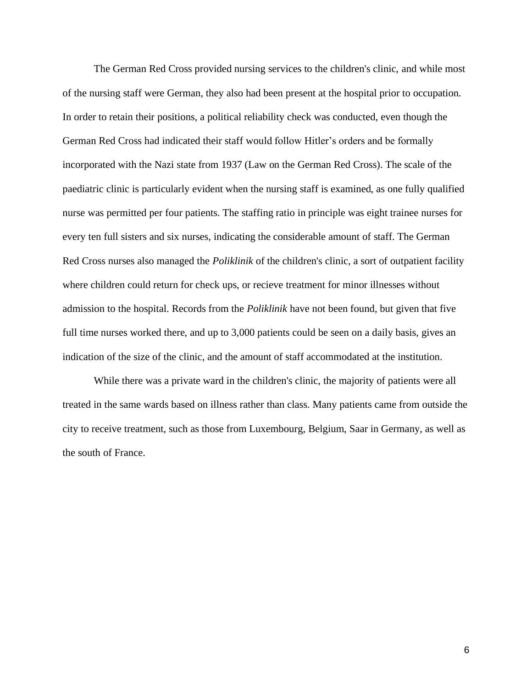The German Red Cross provided nursing services to the children's clinic, and while most of the nursing staff were German, they also had been present at the hospital prior to occupation. In order to retain their positions, a political reliability check was conducted, even though the German Red Cross had indicated their staff would follow Hitler's orders and be formally incorporated with the Nazi state from 1937 (Law on the German Red Cross). The scale of the paediatric clinic is particularly evident when the nursing staff is examined, as one fully qualified nurse was permitted per four patients. The staffing ratio in principle was eight trainee nurses for every ten full sisters and six nurses, indicating the considerable amount of staff. The German Red Cross nurses also managed the *Poliklinik* of the children's clinic, a sort of outpatient facility where children could return for check ups, or recieve treatment for minor illnesses without admission to the hospital. Records from the *Poliklinik* have not been found, but given that five full time nurses worked there, and up to 3,000 patients could be seen on a daily basis, gives an indication of the size of the clinic, and the amount of staff accommodated at the institution.

While there was a private ward in the children's clinic, the majority of patients were all treated in the same wards based on illness rather than class. Many patients came from outside the city to receive treatment, such as those from Luxembourg, Belgium, Saar in Germany, as well as the south of France.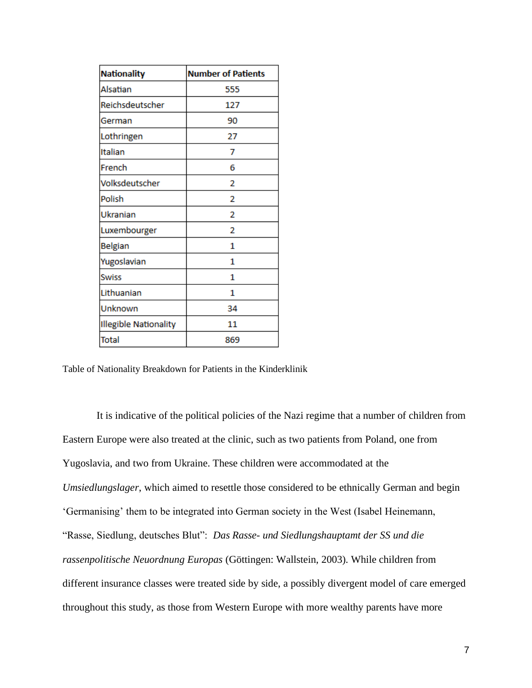| <b>Nationality</b>           | <b>Number of Patients</b> |
|------------------------------|---------------------------|
| Alsatian                     | 555                       |
| Reichsdeutscher              | 127                       |
| German                       | 90                        |
| Lothringen                   | 27                        |
| Italian                      | 7                         |
| French                       | 6                         |
| Volksdeutscher               | 2                         |
| Polish                       | 2                         |
| Ukranian                     | 2                         |
| Luxembourger                 | 2                         |
| <b>Belgian</b>               | 1                         |
| Yugoslavian                  | 1                         |
| <b>Swiss</b>                 | 1                         |
| Lithuanian                   | 1                         |
| Unknown                      | 34                        |
| <b>Illegible Nationality</b> | 11                        |
| <b>Total</b>                 | 869                       |

Table of Nationality Breakdown for Patients in the Kinderklinik

It is indicative of the political policies of the Nazi regime that a number of children from Eastern Europe were also treated at the clinic, such as two patients from Poland, one from Yugoslavia, and two from Ukraine. These children were accommodated at the *Umsiedlungslager*, which aimed to resettle those considered to be ethnically German and begin 'Germanising' them to be integrated into German society in the West (Isabel Heinemann, "Rasse, Siedlung, deutsches Blut": *Das Rasse- und Siedlungshauptamt der SS und die rassenpolitische Neuordnung Europas* (Göttingen: Wallstein, 2003). While children from different insurance classes were treated side by side, a possibly divergent model of care emerged throughout this study, as those from Western Europe with more wealthy parents have more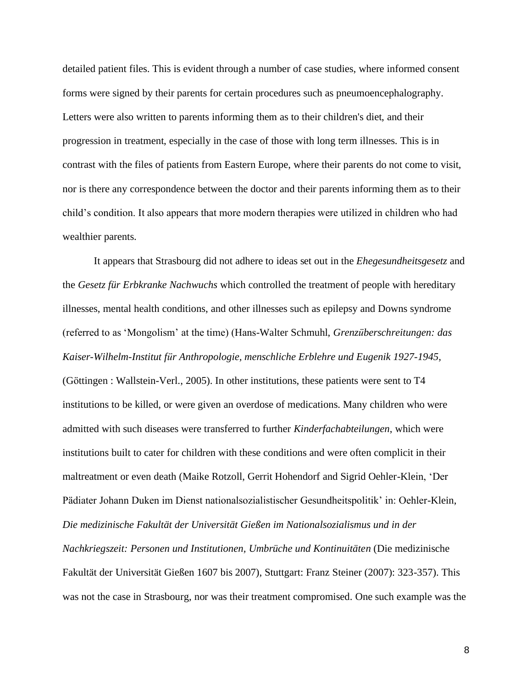detailed patient files. This is evident through a number of case studies, where informed consent forms were signed by their parents for certain procedures such as pneumoencephalography. Letters were also written to parents informing them as to their children's diet, and their progression in treatment, especially in the case of those with long term illnesses. This is in contrast with the files of patients from Eastern Europe, where their parents do not come to visit, nor is there any correspondence between the doctor and their parents informing them as to their child's condition. It also appears that more modern therapies were utilized in children who had wealthier parents.

It appears that Strasbourg did not adhere to ideas set out in the *Ehegesundheitsgesetz* and the *Gesetz für Erbkranke Nachwuchs* which controlled the treatment of people with hereditary illnesses, mental health conditions, and other illnesses such as epilepsy and Downs syndrome (referred to as 'Mongolism' at the time) (Hans-Walter Schmuhl, *Grenzüberschreitungen: das Kaiser-Wilhelm-Institut für Anthropologie, menschliche Erblehre und Eugenik 1927-1945,* (Göttingen : Wallstein-Verl., 2005). In other institutions, these patients were sent to T4 institutions to be killed, or were given an overdose of medications. Many children who were admitted with such diseases were transferred to further *Kinderfachabteilungen*, which were institutions built to cater for children with these conditions and were often complicit in their maltreatment or even death (Maike Rotzoll, Gerrit Hohendorf and Sigrid Oehler-Klein, 'Der Pädiater Johann Duken im Dienst nationalsozialistischer Gesundheitspolitik' in: Oehler-Klein, *Die medizinische Fakultät der Universität Gießen im Nationalsozialismus und in der Nachkriegszeit: Personen und Institutionen, Umbrüche und Kontinuitäten* (Die medizinische Fakultät der Universität Gießen 1607 bis 2007), Stuttgart: Franz Steiner (2007): 323-357). This was not the case in Strasbourg, nor was their treatment compromised. One such example was the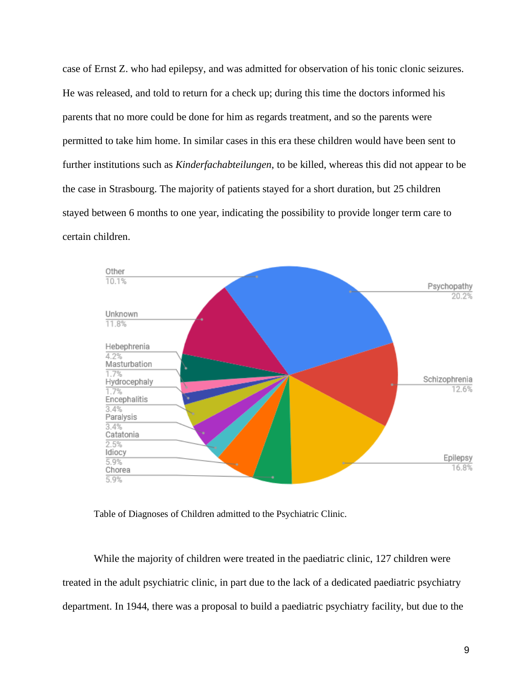case of Ernst Z. who had epilepsy, and was admitted for observation of his tonic clonic seizures. He was released, and told to return for a check up; during this time the doctors informed his parents that no more could be done for him as regards treatment, and so the parents were permitted to take him home. In similar cases in this era these children would have been sent to further institutions such as *Kinderfachabteilungen*, to be killed, whereas this did not appear to be the case in Strasbourg. The majority of patients stayed for a short duration, but 25 children stayed between 6 months to one year, indicating the possibility to provide longer term care to certain children.



Table of Diagnoses of Children admitted to the Psychiatric Clinic.

While the majority of children were treated in the paediatric clinic, 127 children were treated in the adult psychiatric clinic, in part due to the lack of a dedicated paediatric psychiatry department. In 1944, there was a proposal to build a paediatric psychiatry facility, but due to the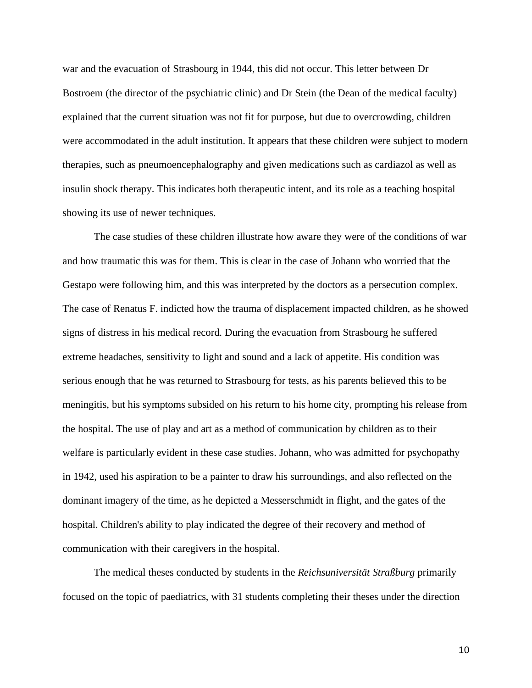war and the evacuation of Strasbourg in 1944, this did not occur. This letter between Dr Bostroem (the director of the psychiatric clinic) and Dr Stein (the Dean of the medical faculty) explained that the current situation was not fit for purpose, but due to overcrowding, children were accommodated in the adult institution. It appears that these children were subject to modern therapies, such as pneumoencephalography and given medications such as cardiazol as well as insulin shock therapy. This indicates both therapeutic intent, and its role as a teaching hospital showing its use of newer techniques.

The case studies of these children illustrate how aware they were of the conditions of war and how traumatic this was for them. This is clear in the case of Johann who worried that the Gestapo were following him, and this was interpreted by the doctors as a persecution complex. The case of Renatus F. indicted how the trauma of displacement impacted children, as he showed signs of distress in his medical record. During the evacuation from Strasbourg he suffered extreme headaches, sensitivity to light and sound and a lack of appetite. His condition was serious enough that he was returned to Strasbourg for tests, as his parents believed this to be meningitis, but his symptoms subsided on his return to his home city, prompting his release from the hospital. The use of play and art as a method of communication by children as to their welfare is particularly evident in these case studies. Johann, who was admitted for psychopathy in 1942, used his aspiration to be a painter to draw his surroundings, and also reflected on the dominant imagery of the time, as he depicted a Messerschmidt in flight, and the gates of the hospital. Children's ability to play indicated the degree of their recovery and method of communication with their caregivers in the hospital.

The medical theses conducted by students in the *Reichsuniversität Straßburg* primarily focused on the topic of paediatrics, with 31 students completing their theses under the direction

10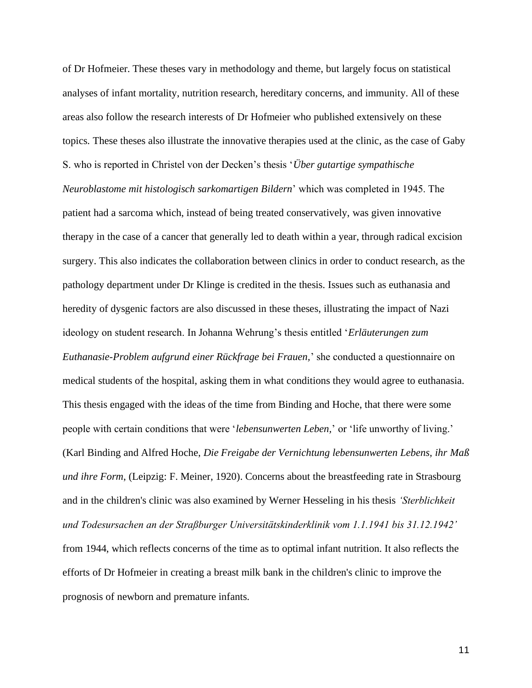of Dr Hofmeier. These theses vary in methodology and theme, but largely focus on statistical analyses of infant mortality, nutrition research, hereditary concerns, and immunity. All of these areas also follow the research interests of Dr Hofmeier who published extensively on these topics. These theses also illustrate the innovative therapies used at the clinic, as the case of Gaby S. who is reported in Christel von der Decken's thesis '*Über gutartige sympathische Neuroblastome mit histologisch sarkomartigen Bildern*' which was completed in 1945. The patient had a sarcoma which, instead of being treated conservatively, was given innovative therapy in the case of a cancer that generally led to death within a year, through radical excision surgery. This also indicates the collaboration between clinics in order to conduct research, as the pathology department under Dr Klinge is credited in the thesis. Issues such as euthanasia and heredity of dysgenic factors are also discussed in these theses, illustrating the impact of Nazi ideology on student research. In Johanna Wehrung's thesis entitled '*Erläuterungen zum Euthanasie-Problem aufgrund einer Rückfrage bei Frauen,*' she conducted a questionnaire on medical students of the hospital, asking them in what conditions they would agree to euthanasia. This thesis engaged with the ideas of the time from Binding and Hoche, that there were some people with certain conditions that were '*lebensunwerten Leben,*' or 'life unworthy of living.' (Karl Binding and Alfred Hoche, *Die Freigabe der Vernichtung lebensunwerten Lebens, ihr Maß und ihre Form*, (Leipzig: F. Meiner, 1920). Concerns about the breastfeeding rate in Strasbourg and in the children's clinic was also examined by Werner Hesseling in his thesis *'Sterblichkeit und Todesursachen an der Straßburger Universitätskinderklinik vom 1.1.1941 bis 31.12.1942'*

from 1944, which reflects concerns of the time as to optimal infant nutrition. It also reflects the efforts of Dr Hofmeier in creating a breast milk bank in the children's clinic to improve the prognosis of newborn and premature infants.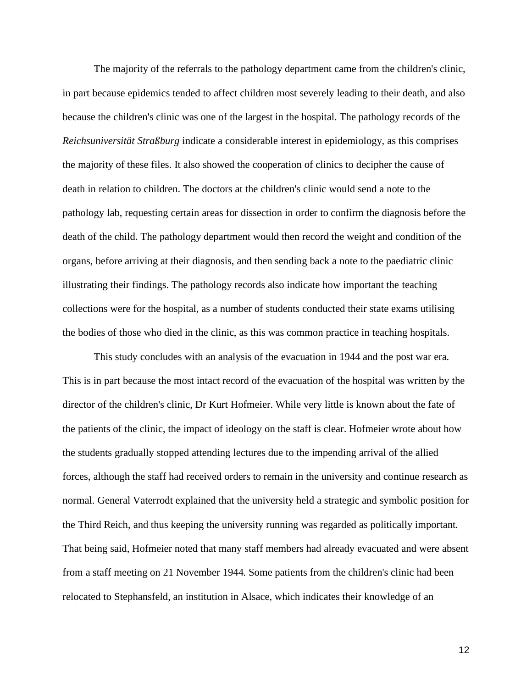The majority of the referrals to the pathology department came from the children's clinic, in part because epidemics tended to affect children most severely leading to their death, and also because the children's clinic was one of the largest in the hospital. The pathology records of the *Reichsuniversität Straßburg* indicate a considerable interest in epidemiology, as this comprises the majority of these files. It also showed the cooperation of clinics to decipher the cause of death in relation to children. The doctors at the children's clinic would send a note to the pathology lab, requesting certain areas for dissection in order to confirm the diagnosis before the death of the child. The pathology department would then record the weight and condition of the organs, before arriving at their diagnosis, and then sending back a note to the paediatric clinic illustrating their findings. The pathology records also indicate how important the teaching collections were for the hospital, as a number of students conducted their state exams utilising the bodies of those who died in the clinic, as this was common practice in teaching hospitals.

This study concludes with an analysis of the evacuation in 1944 and the post war era. This is in part because the most intact record of the evacuation of the hospital was written by the director of the children's clinic, Dr Kurt Hofmeier. While very little is known about the fate of the patients of the clinic, the impact of ideology on the staff is clear. Hofmeier wrote about how the students gradually stopped attending lectures due to the impending arrival of the allied forces, although the staff had received orders to remain in the university and continue research as normal. General Vaterrodt explained that the university held a strategic and symbolic position for the Third Reich, and thus keeping the university running was regarded as politically important. That being said, Hofmeier noted that many staff members had already evacuated and were absent from a staff meeting on 21 November 1944. Some patients from the children's clinic had been relocated to Stephansfeld, an institution in Alsace, which indicates their knowledge of an

12